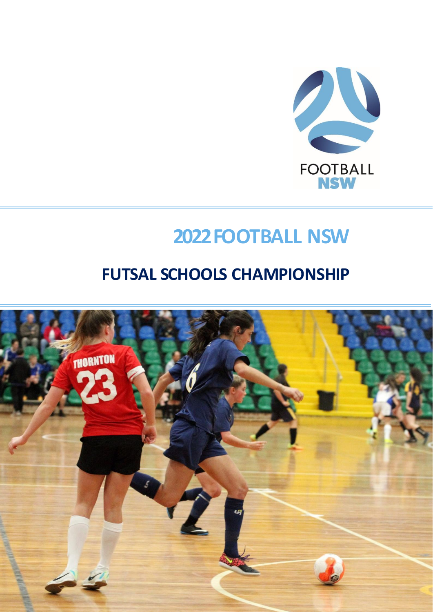

# **2022 FOOTBALL NSW**

# <span id="page-0-0"></span>**FUTSAL SCHOOLS CHAMPIONSHIP**

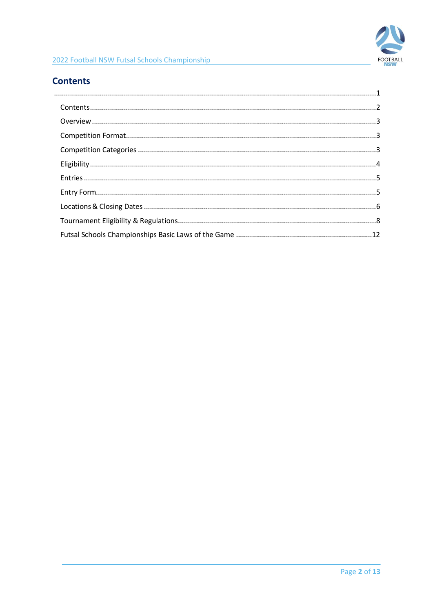

# <span id="page-1-0"></span>**Contents**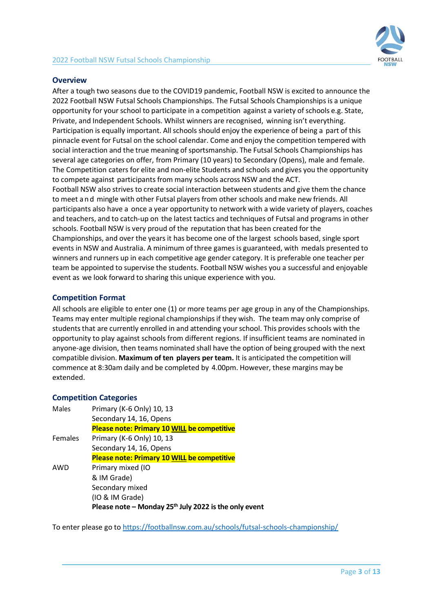

#### <span id="page-2-0"></span>**Overview**

After a tough two seasons due to the COVID19 pandemic, Football NSW is excited to announce the 2022 Football NSW Futsal Schools Championships. The Futsal Schools Championships is a unique opportunity for your school to participate in a competition against a variety of schools e.g. State, Private, and Independent Schools. Whilst winners are recognised, winning isn't everything. Participation is equally important. All schools should enjoy the experience of being a part of this pinnacle event for Futsal on the school calendar. Come and enjoy the competition tempered with social interaction and the true meaning of sportsmanship. The Futsal Schools Championships has several age categories on offer, from Primary (10 years) to Secondary (Opens), male and female. The Competition caters for elite and non-elite Students and schools and gives you the opportunity to compete against participants from many schools across NSW and the ACT. Football NSW also strives to create social interaction between students and give them the chance to meet a n d mingle with other Futsal players from other schools and make new friends. All

participants also have a once a year opportunity to network with a wide variety of players, coaches and teachers, and to catch-up on the latest tactics and techniques of Futsal and programs in other schools. Football NSW is very proud of the reputation that has been created for the Championships, and over the years it has become one of the largest schools based, single sport events in NSW and Australia. A minimum of three games is guaranteed, with medals presented to winners and runners up in each competitive age gender category. It is preferable one teacher per team be appointed to supervise the students. Football NSW wishes you a successful and enjoyable event as we look forward to sharing this unique experience with you.

## <span id="page-2-1"></span>**Competition Format**

All schools are eligible to enter one (1) or more teams per age group in any of the Championships. Teams may enter multiple regional championships if they wish. The team may only comprise of students that are currently enrolled in and attending your school. This provides schools with the opportunity to play against schools from different regions. If insufficient teams are nominated in anyone-age division, then teams nominated shall have the option of being grouped with the next compatible division. **Maximum of ten players per team.** It is anticipated the competition will commence at 8:30am daily and be completed by 4.00pm. However, these margins may be extended.

## <span id="page-2-2"></span>**Competition Categories**

| Males          | Primary (K-6 Only) 10, 13                                         |
|----------------|-------------------------------------------------------------------|
|                | Secondary 14, 16, Opens                                           |
|                | Please note: Primary 10 WILL be competitive                       |
| <b>Females</b> | Primary (K-6 Only) 10, 13                                         |
|                | Secondary 14, 16, Opens                                           |
|                | Please note: Primary 10 WILL be competitive                       |
| AWD            | Primary mixed (IO                                                 |
|                | & IM Grade)                                                       |
|                | Secondary mixed                                                   |
|                | (IO & IM Grade)                                                   |
|                | Please note - Monday 25 <sup>th</sup> July 2022 is the only event |

To enter please go t[o https://footballnsw.com.au/schools/futsal-schools-championship/](https://footballnsw.com.au/schools/futsal-schools-championship/)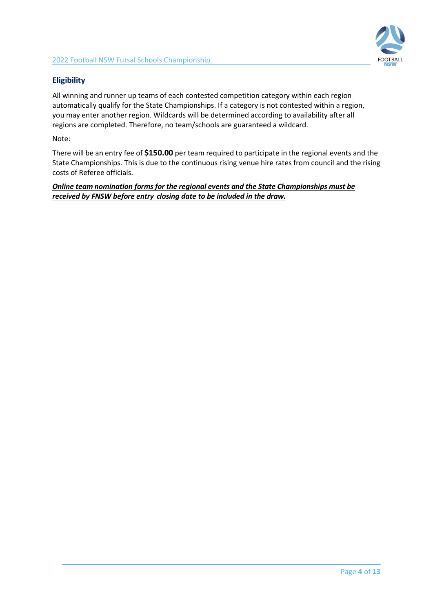

# <span id="page-3-0"></span>**Eligibility**

All winning and runner up teams of each contested competition category within each region automatically qualify for the State Championships. If a category is not contested within a region, you may enter another region. Wildcards will be determined according to availability after all regions are completed. Therefore, no team/schools are guaranteed a wildcard.

Note:

There will be an entry fee of **\$150.00** per team required to participate in the regional events and the State Championships. This is due to the continuous rising venue hire rates from council and the rising costs of Referee officials.

*Online team nomination forms for the regional events and the State Championships must be received by FNSW before entry closing date to be included in the draw.*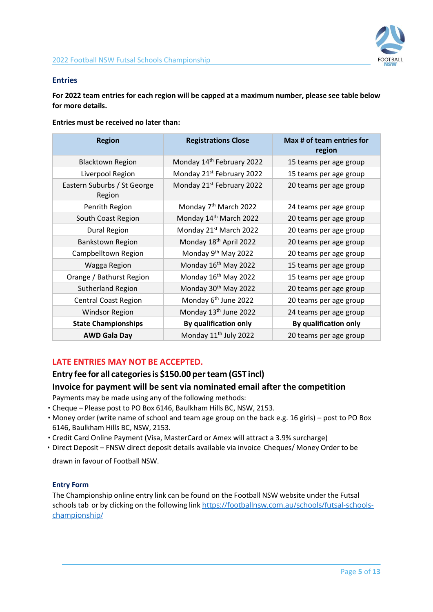

#### <span id="page-4-0"></span>**Entries**

**For 2022 team entries for each region will be capped at a maximum number, please see table below for more details.** 

**Entries must be received no later than:**

| <b>Region</b>                         | <b>Registrations Close</b>            | Max # of team entries for<br>region |
|---------------------------------------|---------------------------------------|-------------------------------------|
| <b>Blacktown Region</b>               | Monday 14th February 2022             | 15 teams per age group              |
| Liverpool Region                      | Monday 21 <sup>st</sup> February 2022 | 15 teams per age group              |
| Eastern Suburbs / St George<br>Region | Monday 21 <sup>st</sup> February 2022 | 20 teams per age group              |
| Penrith Region                        | Monday 7 <sup>th</sup> March 2022     | 24 teams per age group              |
| South Coast Region                    | Monday 14th March 2022                | 20 teams per age group              |
| <b>Dural Region</b>                   | Monday 21 <sup>st</sup> March 2022    | 20 teams per age group              |
| <b>Bankstown Region</b>               | Monday 18th April 2022                | 20 teams per age group              |
| Campbelltown Region                   | Monday 9 <sup>th</sup> May 2022       | 20 teams per age group              |
| Wagga Region                          | Monday 16 <sup>th</sup> May 2022      | 15 teams per age group              |
| Orange / Bathurst Region              | Monday 16 <sup>th</sup> May 2022      | 15 teams per age group              |
| Sutherland Region                     | Monday 30 <sup>th</sup> May 2022      | 20 teams per age group              |
| <b>Central Coast Region</b>           | Monday 6 <sup>th</sup> June 2022      | 20 teams per age group              |
| <b>Windsor Region</b>                 | Monday 13 <sup>th</sup> June 2022     | 24 teams per age group              |
| <b>State Championships</b>            | By qualification only                 | By qualification only               |
| <b>AWD Gala Day</b>                   | Monday 11 <sup>th</sup> July 2022     | 20 teams per age group              |

# **LATE ENTRIES MAY NOT BE ACCEPTED.**

# **Entry fee for all categoriesis \$150.00 perteam (GST incl)**

## **Invoice for payment will be sent via nominated email after the competition**

Payments may be made using any of the following methods:

- Cheque Please post to PO Box 6146, Baulkham Hills BC, NSW, 2153.
- Money order (write name of school and team age group on the back e.g. 16 girls) post to PO Box 6146, Baulkham Hills BC, NSW, 2153.
- Credit Card Online Payment (Visa, MasterCard or Amex will attract a 3.9% surcharge)
- Direct Deposit FNSW direct deposit details available via invoice Cheques/ Money Order to be

drawn in favour of Football NSW.

#### <span id="page-4-1"></span>**Entry Form**

The Championship online entry link can be found on the Football NSW website under the Futsal schools tab or by clicking on the following link [https://footballnsw.com.au/schools/futsal-schools](https://footballnsw.com.au/schools/futsal-schools-championship/)[championship/](https://footballnsw.com.au/schools/futsal-schools-championship/)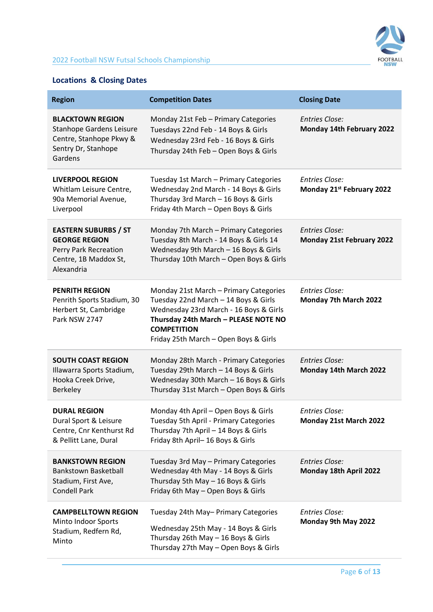

# <span id="page-5-0"></span>**Locations & Closing Dates**

| <b>Region</b>                                                                                                           | <b>Competition Dates</b>                                                                                                                                                                                                        | <b>Closing Date</b>                                       |
|-------------------------------------------------------------------------------------------------------------------------|---------------------------------------------------------------------------------------------------------------------------------------------------------------------------------------------------------------------------------|-----------------------------------------------------------|
| <b>BLACKTOWN REGION</b><br><b>Stanhope Gardens Leisure</b><br>Centre, Stanhope Pkwy &<br>Sentry Dr, Stanhope<br>Gardens | Monday 21st Feb - Primary Categories<br>Tuesdays 22nd Feb - 14 Boys & Girls<br>Wednesday 23rd Feb - 16 Boys & Girls<br>Thursday 24th Feb - Open Boys & Girls                                                                    | <b>Entries Close:</b><br>Monday 14th February 2022        |
| <b>LIVERPOOL REGION</b><br>Whitlam Leisure Centre,<br>90a Memorial Avenue,<br>Liverpool                                 | Tuesday 1st March - Primary Categories<br>Wednesday 2nd March - 14 Boys & Girls<br>Thursday 3rd March - 16 Boys & Girls<br>Friday 4th March - Open Boys & Girls                                                                 | <b>Entries Close:</b><br>Monday 21st February 2022        |
| <b>EASTERN SUBURBS / ST</b><br><b>GEORGE REGION</b><br>Perry Park Recreation<br>Centre, 1B Maddox St,<br>Alexandria     | Monday 7th March - Primary Categories<br>Tuesday 8th March - 14 Boys & Girls 14<br>Wednesday 9th March - 16 Boys & Girls<br>Thursday 10th March - Open Boys & Girls                                                             | <b>Entries Close:</b><br><b>Monday 21st February 2022</b> |
| <b>PENRITH REGION</b><br>Penrith Sports Stadium, 30<br>Herbert St, Cambridge<br>Park NSW 2747                           | Monday 21st March - Primary Categories<br>Tuesday 22nd March - 14 Boys & Girls<br>Wednesday 23rd March - 16 Boys & Girls<br>Thursday 24th March - PLEASE NOTE NO<br><b>COMPETITION</b><br>Friday 25th March - Open Boys & Girls | <b>Entries Close:</b><br>Monday 7th March 2022            |
| <b>SOUTH COAST REGION</b><br>Illawarra Sports Stadium,<br>Hooka Creek Drive,<br>Berkeley                                | Monday 28th March - Primary Categories<br>Tuesday 29th March - 14 Boys & Girls<br>Wednesday 30th March - 16 Boys & Girls<br>Thursday 31st March - Open Boys & Girls                                                             | <b>Entries Close:</b><br>Monday 14th March 2022           |
| <b>DURAL REGION</b><br>Dural Sport & Leisure<br>Centre, Cnr Kenthurst Rd<br>& Pellitt Lane, Dural                       | Monday 4th April - Open Boys & Girls<br>Tuesday 5th April - Primary Categories<br>Thursday 7th April - 14 Boys & Girls<br>Friday 8th April-16 Boys & Girls                                                                      | <b>Entries Close:</b><br>Monday 21st March 2022           |
| <b>BANKSTOWN REGION</b><br>Bankstown Basketball<br>Stadium, First Ave,<br><b>Condell Park</b>                           | Tuesday 3rd May - Primary Categories<br>Wednesday 4th May - 14 Boys & Girls<br>Thursday 5th May - 16 Boys & Girls<br>Friday 6th May - Open Boys & Girls                                                                         | <b>Entries Close:</b><br>Monday 18th April 2022           |
| <b>CAMPBELLTOWN REGION</b><br>Minto Indoor Sports<br>Stadium, Redfern Rd,<br>Minto                                      | Tuesday 24th May-Primary Categories<br>Wednesday 25th May - 14 Boys & Girls<br>Thursday 26th May - 16 Boys & Girls<br>Thursday 27th May - Open Boys & Girls                                                                     | <b>Entries Close:</b><br>Monday 9th May 2022              |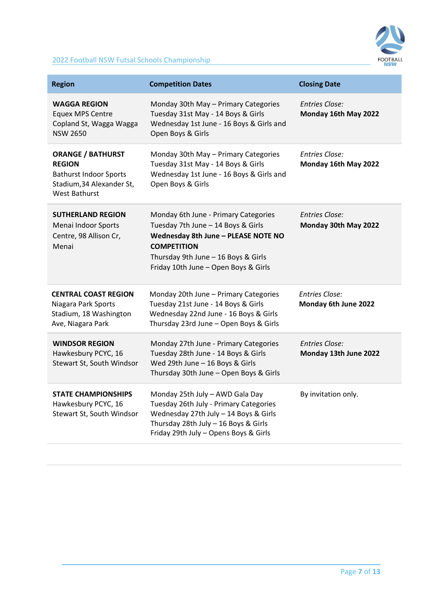

# 2022 Football NSW Futsal Schools Championship

| <b>Region</b>                                                                                                            | <b>Competition Dates</b>                                                                                                                                                                                               | <b>Closing Date</b>                            |
|--------------------------------------------------------------------------------------------------------------------------|------------------------------------------------------------------------------------------------------------------------------------------------------------------------------------------------------------------------|------------------------------------------------|
| <b>WAGGA REGION</b><br><b>Equex MPS Centre</b><br>Copland St, Wagga Wagga<br><b>NSW 2650</b>                             | Monday 30th May - Primary Categories<br>Tuesday 31st May - 14 Boys & Girls<br>Wednesday 1st June - 16 Boys & Girls and<br>Open Boys & Girls                                                                            | Entries Close:<br>Monday 16th May 2022         |
| <b>ORANGE / BATHURST</b><br><b>REGION</b><br><b>Bathurst Indoor Sports</b><br>Stadium, 34 Alexander St,<br>West Bathurst | Monday 30th May - Primary Categories<br>Tuesday 31st May - 14 Boys & Girls<br>Wednesday 1st June - 16 Boys & Girls and<br>Open Boys & Girls                                                                            | Entries Close:<br>Monday 16th May 2022         |
| <b>SUTHERLAND REGION</b><br>Menai Indoor Sports<br>Centre, 98 Allison Cr,<br>Menai                                       | Monday 6th June - Primary Categories<br>Tuesday 7th June - 14 Boys & Girls<br>Wednesday 8th June - PLEASE NOTE NO<br><b>COMPETITION</b><br>Thursday 9th June - 16 Boys & Girls<br>Friday 10th June - Open Boys & Girls | <b>Entries Close:</b><br>Monday 30th May 2022  |
| <b>CENTRAL COAST REGION</b><br>Niagara Park Sports<br>Stadium, 18 Washington<br>Ave, Niagara Park                        | Monday 20th June - Primary Categories<br>Tuesday 21st June - 14 Boys & Girls<br>Wednesday 22nd June - 16 Boys & Girls<br>Thursday 23rd June - Open Boys & Girls                                                        | Entries Close:<br>Monday 6th June 2022         |
| <b>WINDSOR REGION</b><br>Hawkesbury PCYC, 16<br>Stewart St, South Windsor                                                | Monday 27th June - Primary Categories<br>Tuesday 28th June - 14 Boys & Girls<br>Wed 29th June - 16 Boys & Girls<br>Thursday 30th June - Open Boys & Girls                                                              | <b>Entries Close:</b><br>Monday 13th June 2022 |
| <b>STATE CHAMPIONSHIPS</b><br>Hawkesbury PCYC, 16<br>Stewart St, South Windsor                                           | Monday 25th July - AWD Gala Day<br>Tuesday 26th July - Primary Categories<br>Wednesday 27th July - 14 Boys & Girls<br>Thursday 28th July - 16 Boys & Girls<br>Friday 29th July - Opens Boys & Girls                    | By invitation only.                            |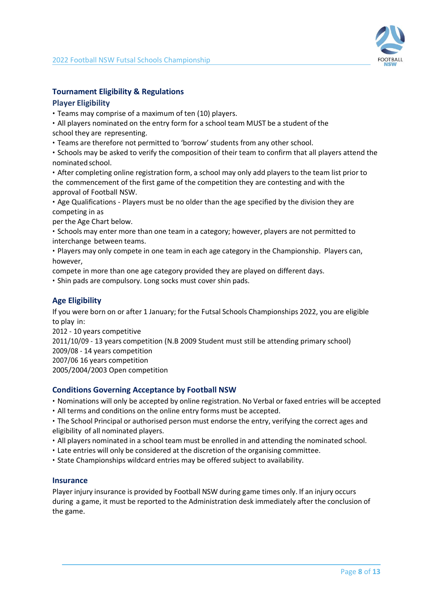

# <span id="page-7-0"></span>**Tournament Eligibility & Regulations**

# **Player Eligibility**

• Teams may comprise of a maximum of ten (10) players.

• All players nominated on the entry form for a school team MUST be a student of the school they are representing.

• Teams are therefore not permitted to 'borrow' students from any other school.

• Schools may be asked to verify the composition of their team to confirm that all players attend the nominated school.

• After completing online registration form, a school may only add players to the team list prior to the commencement of the first game of the competition they are contesting and with the approval of Football NSW.

• Age Qualifications - Players must be no older than the age specified by the division they are competing in as

per the Age Chart below.

• Schools may enter more than one team in a category; however, players are not permitted to interchange between teams.

• Players may only compete in one team in each age category in the Championship. Players can, however,

compete in more than one age category provided they are played on different days.

• Shin pads are compulsory. Long socks must cover shin pads.

# **Age Eligibility**

If you were born on or after 1 January; for the Futsal Schools Championships 2022, you are eligible to play in:

2012 - 10 years competitive

2011/10/09 - 13 years competition (N.B 2009 Student must still be attending primary school)

2009/08 - 14 years competition

2007/06 16 years competition

2005/2004/2003 Open competition

# **Conditions Governing Acceptance by Football NSW**

• Nominations will only be accepted by online registration. No Verbal or faxed entries will be accepted

• All terms and conditions on the online entry forms must be accepted.

• The School Principal or authorised person must endorse the entry, verifying the correct ages and eligibility of all nominated players.

• All players nominated in a school team must be enrolled in and attending the nominated school.

• Late entries will only be considered at the discretion of the organising committee.

• State Championships wildcard entries may be offered subject to availability.

## **Insurance**

Player injury insurance is provided by Football NSW during game times only. If an injury occurs during a game, it must be reported to the Administration desk immediately after the conclusion of the game.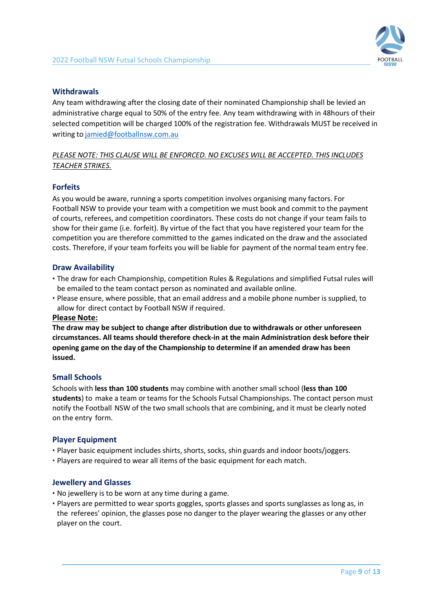

# **Withdrawals**

Any team withdrawing after the closing date of their nominated Championship shall be levied an administrative charge equal to 50% of the entry fee. Any team withdrawing with in 48hours of their selected competition will be charged 100% of the registration fee. Withdrawals MUST be received in writing to [jamied@footballnsw.com.au](mailto:jamied@footballnsw.com.au)

# *PLEASE NOTE: THIS CLAUSE WILL BE ENFORCED. NO EXCUSES WILL BE ACCEPTED. THIS INCLUDES TEACHER STRIKES.*

## **Forfeits**

As you would be aware, running a sports competition involves organising many factors. For Football NSW to provide your team with a competition we must book and commit to the payment of courts, referees, and competition coordinators. These costs do not change if your team fails to show for their game (i.e. forfeit). By virtue of the fact that you have registered your team for the competition you are therefore committed to the games indicated on the draw and the associated costs. Therefore, if your team forfeits you will be liable for payment of the normal team entry fee.

#### **Draw Availability**

- The draw for each Championship, competition Rules & Regulations and simplified Futsal rules will be emailed to the team contact person as nominated and available online.
- Please ensure, where possible, that an email address and a mobile phone number is supplied, to allow for direct contact by Football NSW if required.

#### **Please Note:**

**The draw may be subject to change after distribution due to withdrawals or other unforeseen circumstances. All teams should therefore check-in at the main Administration desk before their opening game on the day of the Championship to determine if an amended draw has been issued.**

## **Small Schools**

Schools with **less than 100 students** may combine with another small school (**less than 100 students**) to make a team or teams for the Schools Futsal Championships. The contact person must notify the Football NSW of the two small schools that are combining, and it must be clearly noted on the entry form.

## **Player Equipment**

- Player basic equipment includes shirts, shorts, socks, shin guards and indoor boots/joggers.
- Players are required to wear all items of the basic equipment for each match.

## **Jewellery and Glasses**

- No jewellery is to be worn at any time during a game.
- Players are permitted to wear sports goggles, sports glasses and sports sunglasses as long as, in the referees' opinion, the glasses pose no danger to the player wearing the glasses or any other player on the court.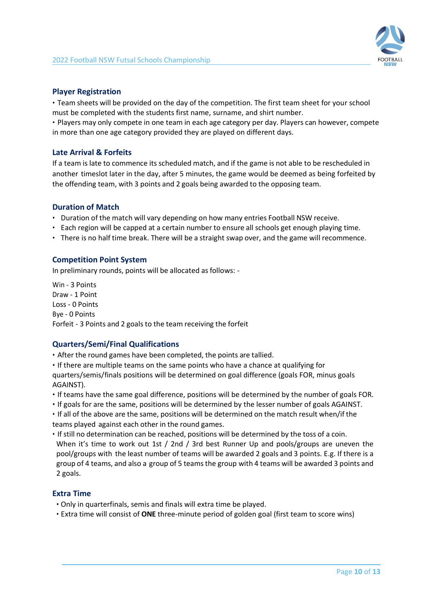

# **Player Registration**

• Team sheets will be provided on the day of the competition. The first team sheet for your school must be completed with the students first name, surname, and shirt number.

• Players may only compete in one team in each age category per day. Players can however, compete in more than one age category provided they are played on different days.

# **Late Arrival & Forfeits**

If a team is late to commence its scheduled match, and if the game is not able to be rescheduled in another timeslot later in the day, after 5 minutes, the game would be deemed as being forfeited by the offending team, with 3 points and 2 goals being awarded to the opposing team.

## **Duration of Match**

- Duration of the match will vary depending on how many entries Football NSW receive.
- Each region will be capped at a certain number to ensure all schools get enough playing time.
- There is no half time break. There will be a straight swap over, and the game will recommence.

# **Competition Point System**

In preliminary rounds, points will be allocated as follows: -

Win - 3 Points Draw - 1 Point Loss - 0 Points Bye - 0 Points Forfeit - 3 Points and 2 goals to the team receiving the forfeit

## **Quarters/Semi/Final Qualifications**

• After the round games have been completed, the points are tallied.

• If there are multiple teams on the same points who have a chance at qualifying for quarters/semis/finals positions will be determined on goal difference (goals FOR, minus goals AGAINST).

- If teams have the same goal difference, positions will be determined by the number of goals FOR.
- If goals for are the same, positions will be determined by the lesser number of goals AGAINST.
- If all of the above are the same, positions will be determined on the match result when/if the teams played against each other in the round games.
- If still no determination can be reached, positions will be determined by the toss of a coin. When it's time to work out 1st / 2nd / 3rd best Runner Up and pools/groups are uneven the pool/groups with the least number of teams will be awarded 2 goals and 3 points. E.g. If there is a group of 4 teams, and also a group of 5 teams the group with 4 teams will be awarded 3 points and 2 goals.

## **Extra Time**

- Only in quarterfinals, semis and finals will extra time be played.
- Extra time will consist of **ONE** three-minute period of golden goal (first team to score wins)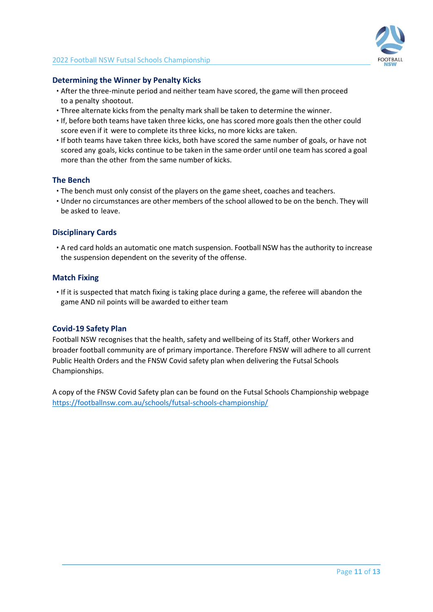

# **Determining the Winner by Penalty Kicks**

- After the three-minute period and neither team have scored, the game will then proceed to a penalty shootout.
- Three alternate kicks from the penalty mark shall be taken to determine the winner.
- If, before both teams have taken three kicks, one has scored more goals then the other could score even if it were to complete its three kicks, no more kicks are taken.
- If both teams have taken three kicks, both have scored the same number of goals, or have not scored any goals, kicks continue to be taken in the same order until one team has scored a goal more than the other from the same number of kicks.

## **The Bench**

- The bench must only consist of the players on the game sheet, coaches and teachers.
- Under no circumstances are other members of the school allowed to be on the bench. They will be asked to leave.

## **Disciplinary Cards**

• A red card holds an automatic one match suspension. Football NSW has the authority to increase the suspension dependent on the severity of the offense.

#### **Match Fixing**

• If it is suspected that match fixing is taking place during a game, the referee will abandon the game AND nil points will be awarded to either team

#### **Covid-19 Safety Plan**

Football NSW recognises that the health, safety and wellbeing of its Staff, other Workers and broader football community are of primary importance. Therefore FNSW will adhere to all current Public Health Orders and the FNSW Covid safety plan when delivering the Futsal Schools Championships.

A copy of the FNSW Covid Safety plan can be found on the Futsal Schools Championship webpage <https://footballnsw.com.au/schools/futsal-schools-championship/>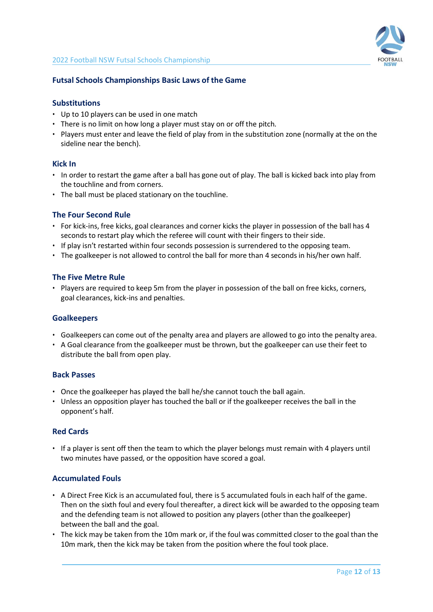

#### <span id="page-11-0"></span>**Futsal Schools Championships Basic Laws of the Game**

#### **Substitutions**

- Up to 10 players can be used in one match
- There is no limit on how long a player must stay on or off the pitch.
- Players must enter and leave the field of play from in the substitution zone (normally at the on the sideline near the bench).

#### **Kick In**

- In order to restart the game after a ball has gone out of play. The ball is kicked back into play from the touchline and from corners.
- The ball must be placed stationary on the touchline.

#### **The Four Second Rule**

- For kick-ins, free kicks, goal clearances and corner kicks the player in possession of the ball has 4 seconds to restart play which the referee will count with their fingers to their side.
- If play isn't restarted within four seconds possession is surrendered to the opposing team.
- The goalkeeper is not allowed to control the ball for more than 4 seconds in his/her own half.

#### **The Five Metre Rule**

• Players are required to keep 5m from the player in possession of the ball on free kicks, corners, goal clearances, kick-ins and penalties.

#### **Goalkeepers**

- Goalkeepers can come out of the penalty area and players are allowed to go into the penalty area.
- A Goal clearance from the goalkeeper must be thrown, but the goalkeeper can use their feet to distribute the ball from open play.

#### **Back Passes**

- Once the goalkeeper has played the ball he/she cannot touch the ball again.
- Unless an opposition player has touched the ball or if the goalkeeper receives the ball in the opponent's half.

#### **Red Cards**

• If a player is sent off then the team to which the player belongs must remain with 4 players until two minutes have passed, or the opposition have scored a goal.

#### **Accumulated Fouls**

- A Direct Free Kick is an accumulated foul, there is 5 accumulated fouls in each half of the game. Then on the sixth foul and every foul thereafter, a direct kick will be awarded to the opposing team and the defending team is not allowed to position any players (other than the goalkeeper) between the ball and the goal.
- The kick may be taken from the 10m mark or, if the foul was committed closer to the goal than the 10m mark, then the kick may be taken from the position where the foul took place.